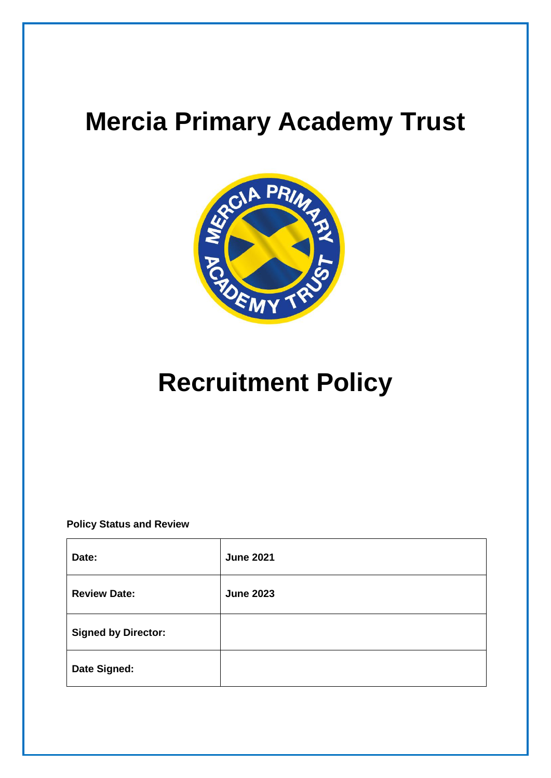# **Mercia Primary Academy Trust**



# **Recruitment Policy**

**Policy Status and Review**

| Date:                      | <b>June 2021</b> |
|----------------------------|------------------|
| <b>Review Date:</b>        | <b>June 2023</b> |
| <b>Signed by Director:</b> |                  |
| Date Signed:               |                  |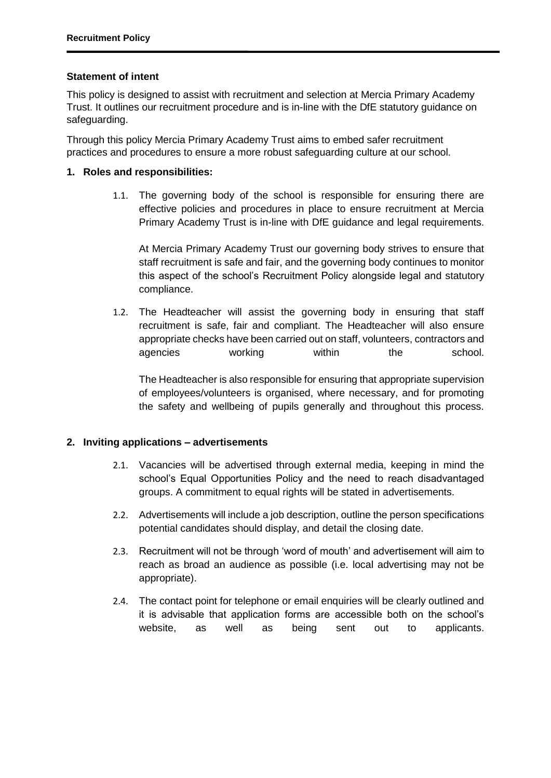#### **Statement of intent**

This policy is designed to assist with recruitment and selection at Mercia Primary Academy Trust. It outlines our recruitment procedure and is in-line with the DfE statutory guidance on safeguarding.

Through this policy Mercia Primary Academy Trust aims to embed safer recruitment practices and procedures to ensure a more robust safeguarding culture at our school.

#### **1. Roles and responsibilities:**

1.1. The governing body of the school is responsible for ensuring there are effective policies and procedures in place to ensure recruitment at Mercia Primary Academy Trust is in-line with DfE guidance and legal requirements.

At Mercia Primary Academy Trust our governing body strives to ensure that staff recruitment is safe and fair, and the governing body continues to monitor this aspect of the school's Recruitment Policy alongside legal and statutory compliance.

1.2. The Headteacher will assist the governing body in ensuring that staff recruitment is safe, fair and compliant. The Headteacher will also ensure appropriate checks have been carried out on staff, volunteers, contractors and agencies working within the school.

The Headteacher is also responsible for ensuring that appropriate supervision of employees/volunteers is organised, where necessary, and for promoting the safety and wellbeing of pupils generally and throughout this process.

#### **2. Inviting applications – advertisements**

- 2.1. Vacancies will be advertised through external media, keeping in mind the school's Equal Opportunities Policy and the need to reach disadvantaged groups. A commitment to equal rights will be stated in advertisements.
- 2.2. Advertisements will include a job description, outline the person specifications potential candidates should display, and detail the closing date.
- 2.3. Recruitment will not be through 'word of mouth' and advertisement will aim to reach as broad an audience as possible (i.e. local advertising may not be appropriate).
- 2.4. The contact point for telephone or email enquiries will be clearly outlined and it is advisable that application forms are accessible both on the school's website, as well as being sent out to applicants.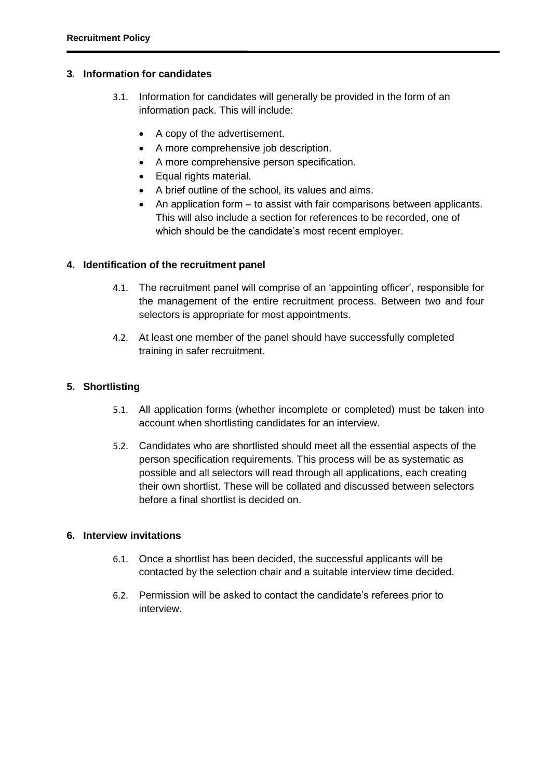#### **3. Information for candidates**

- 3.1. Information for candidates will generally be provided in the form of an information pack. This will include:
	- A copy of the advertisement.
	- A more comprehensive job description.
	- A more comprehensive person specification.
	- Equal rights material.
	- A brief outline of the school, its values and aims.
	- An application form to assist with fair comparisons between applicants. This will also include a section for references to be recorded, one of which should be the candidate's most recent employer.

#### **4. Identification of the recruitment panel**

- 4.1. The recruitment panel will comprise of an 'appointing officer', responsible for the management of the entire recruitment process. Between two and four selectors is appropriate for most appointments.
- 4.2. At least one member of the panel should have successfully completed training in safer recruitment.

#### **5. Shortlisting**

- 5.1. All application forms (whether incomplete or completed) must be taken into account when shortlisting candidates for an interview.
- 5.2. Candidates who are shortlisted should meet all the essential aspects of the person specification requirements. This process will be as systematic as possible and all selectors will read through all applications, each creating their own shortlist. These will be collated and discussed between selectors before a final shortlist is decided on.

#### **6. Interview invitations**

- 6.1. Once a shortlist has been decided, the successful applicants will be contacted by the selection chair and a suitable interview time decided.
- 6.2. Permission will be asked to contact the candidate's referees prior to interview.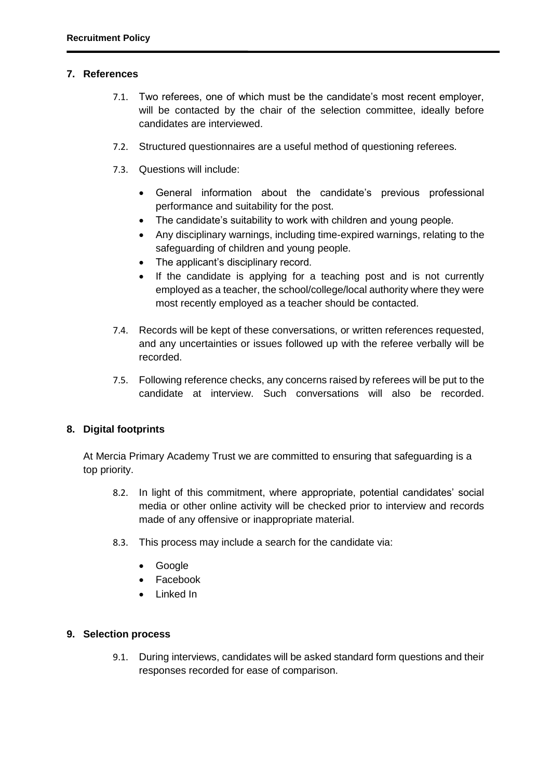#### **7. References**

- 7.1. Two referees, one of which must be the candidate's most recent employer, will be contacted by the chair of the selection committee, ideally before candidates are interviewed.
- 7.2. Structured questionnaires are a useful method of questioning referees.
- 7.3. Questions will include:
	- General information about the candidate's previous professional performance and suitability for the post.
	- The candidate's suitability to work with children and young people.
	- Any disciplinary warnings, including time-expired warnings, relating to the safeguarding of children and young people.
	- The applicant's disciplinary record.
	- If the candidate is applying for a teaching post and is not currently employed as a teacher, the school/college/local authority where they were most recently employed as a teacher should be contacted.
- 7.4. Records will be kept of these conversations, or written references requested, and any uncertainties or issues followed up with the referee verbally will be recorded.
- 7.5. Following reference checks, any concerns raised by referees will be put to the candidate at interview. Such conversations will also be recorded.

#### **8. Digital footprints**

At Mercia Primary Academy Trust we are committed to ensuring that safeguarding is a top priority.

- 8.2. In light of this commitment, where appropriate, potential candidates' social media or other online activity will be checked prior to interview and records made of any offensive or inappropriate material.
- 8.3. This process may include a search for the candidate via:
	- Google
	- Facebook
	- Linked In

#### **9. Selection process**

9.1. During interviews, candidates will be asked standard form questions and their responses recorded for ease of comparison.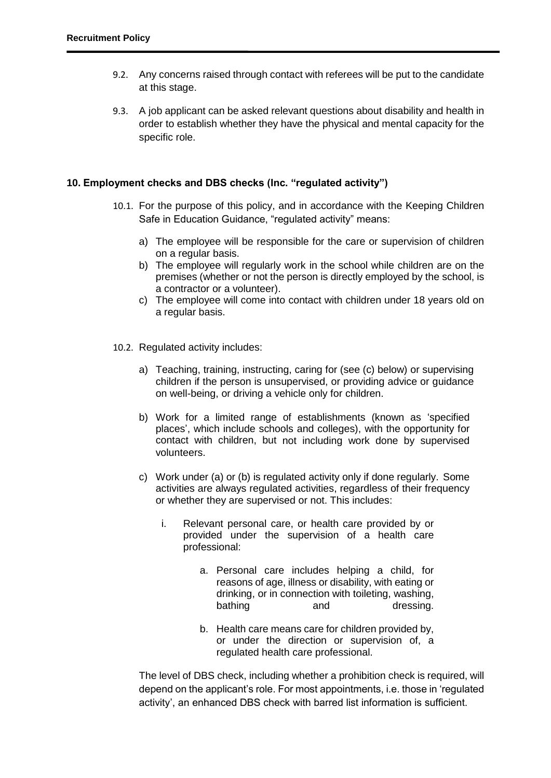- 9.2. Any concerns raised through contact with referees will be put to the candidate at this stage.
- 9.3. A job applicant can be asked relevant questions about disability and health in order to establish whether they have the physical and mental capacity for the specific role.

#### **10. Employment checks and DBS checks (Inc. "regulated activity")**

- 10.1. For the purpose of this policy, and in accordance with the Keeping Children Safe in Education Guidance, "regulated activity" means:
	- a) The employee will be responsible for the care or supervision of children on a regular basis.
	- b) The employee will regularly work in the school while children are on the premises (whether or not the person is directly employed by the school, is a contractor or a volunteer).
	- c) The employee will come into contact with children under 18 years old on a regular basis.
- 10.2. Regulated activity includes:
	- a) Teaching, training, instructing, caring for (see (c) below) or supervising children if the person is unsupervised, or providing advice or guidance on well-being, or driving a vehicle only for children.
	- b) Work for a limited range of establishments (known as 'specified places', which include schools and colleges), with the opportunity for contact with children, but not including work done by supervised volunteers.
	- c) Work under (a) or (b) is regulated activity only if done regularly. Some activities are always regulated activities, regardless of their frequency or whether they are supervised or not. This includes:
		- i. Relevant personal care, or health care provided by or provided under the supervision of a health care professional:
			- a. Personal care includes helping a child, for reasons of age, illness or disability, with eating or drinking, or in connection with toileting, washing, bathing and dressing.
			- b. Health care means care for children provided by, or under the direction or supervision of, a regulated health care professional.

The level of DBS check, including whether a prohibition check is required, will depend on the applicant's role. For most appointments, i.e. those in 'regulated activity', an enhanced DBS check with barred list information is sufficient.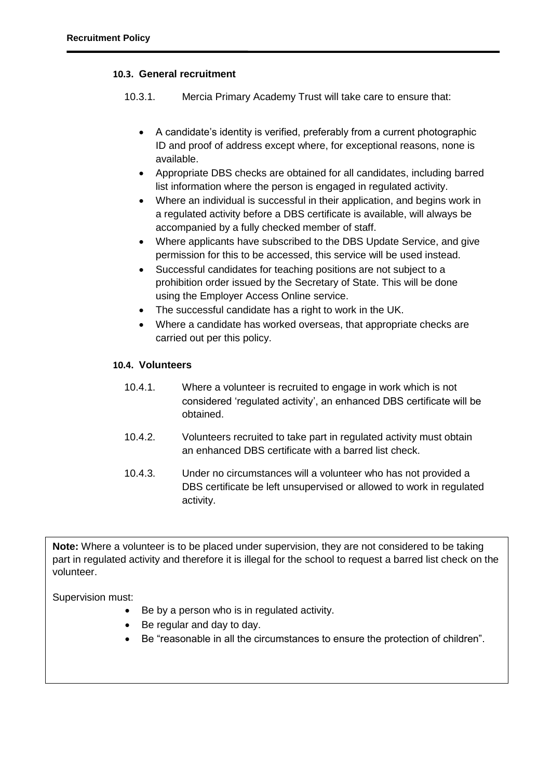### **10.3. General recruitment**

10.3.1. Mercia Primary Academy Trust will take care to ensure that:

- A candidate's identity is verified, preferably from a current photographic ID and proof of address except where, for exceptional reasons, none is available.
- Appropriate DBS checks are obtained for all candidates, including barred list information where the person is engaged in regulated activity.
- Where an individual is successful in their application, and begins work in a regulated activity before a DBS certificate is available, will always be accompanied by a fully checked member of staff.
- Where applicants have subscribed to the DBS Update Service, and give permission for this to be accessed, this service will be used instead.
- Successful candidates for teaching positions are not subject to a prohibition order issued by the Secretary of State. This will be done using the Employer Access Online service.
- The successful candidate has a right to work in the UK.
- Where a candidate has worked overseas, that appropriate checks are carried out per this policy.

## **10.4. Volunteers**

- 10.4.1. Where a volunteer is recruited to engage in work which is not considered 'regulated activity', an enhanced DBS certificate will be obtained.
- 10.4.2. Volunteers recruited to take part in regulated activity must obtain an enhanced DBS certificate with a barred list check.
- 10.4.3. Under no circumstances will a volunteer who has not provided a DBS certificate be left unsupervised or allowed to work in regulated activity.

**Note:** Where a volunteer is to be placed under supervision, they are not considered to be taking part in regulated activity and therefore it is illegal for the school to request a barred list check on the volunteer.

Supervision must:

- Be by a person who is in regulated activity.
- Be regular and day to day.
- Be "reasonable in all the circumstances to ensure the protection of children".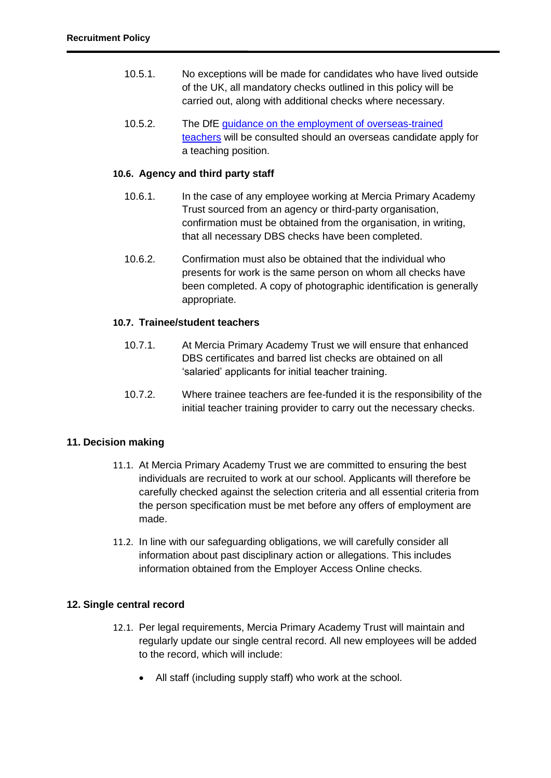- 10.5.1. No exceptions will be made for candidates who have lived outside of the UK, all mandatory checks outlined in this policy will be carried out, along with additional checks where necessary.
- 10.5.2. The DfE guidance on the employment of overseas-trained [teachers](https://www.gov.uk/government/publications/employing-overseas-trained-teachers-from-outside-the-eea) will be consulted should an overseas candidate apply for a teaching position.

### **10.6. Agency and third party staff**

- 10.6.1. In the case of any employee working at Mercia Primary Academy Trust sourced from an agency or third-party organisation, confirmation must be obtained from the organisation, in writing, that all necessary DBS checks have been completed.
- 10.6.2. Confirmation must also be obtained that the individual who presents for work is the same person on whom all checks have been completed. A copy of photographic identification is generally appropriate.

#### **10.7. Trainee/student teachers**

- 10.7.1. At Mercia Primary Academy Trust we will ensure that enhanced DBS certificates and barred list checks are obtained on all 'salaried' applicants for initial teacher training.
- 10.7.2. Where trainee teachers are fee-funded it is the responsibility of the initial teacher training provider to carry out the necessary checks.

#### **11. Decision making**

- 11.1. At Mercia Primary Academy Trust we are committed to ensuring the best individuals are recruited to work at our school. Applicants will therefore be carefully checked against the selection criteria and all essential criteria from the person specification must be met before any offers of employment are made.
- 11.2. In line with our safeguarding obligations, we will carefully consider all information about past disciplinary action or allegations. This includes information obtained from the Employer Access Online checks.

#### **12. Single central record**

- 12.1. Per legal requirements, Mercia Primary Academy Trust will maintain and regularly update our single central record. All new employees will be added to the record, which will include:
	- All staff (including supply staff) who work at the school.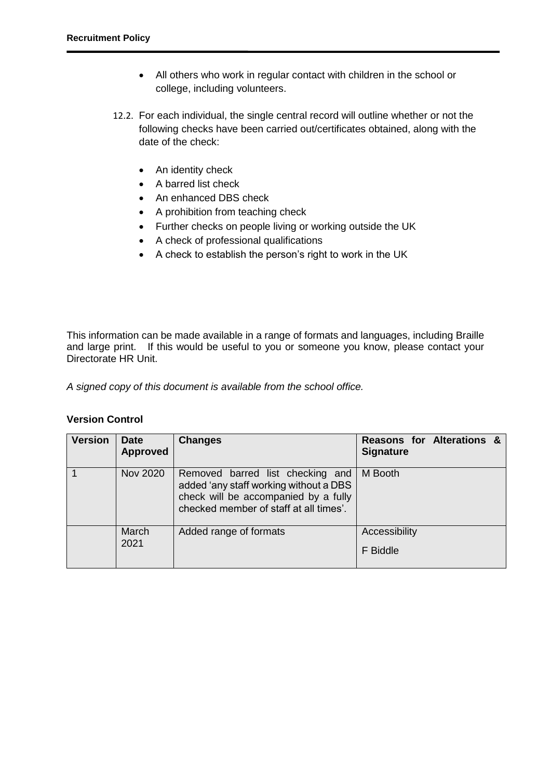- All others who work in regular contact with children in the school or college, including volunteers.
- 12.2. For each individual, the single central record will outline whether or not the following checks have been carried out/certificates obtained, along with the date of the check:
	- An identity check
	- A barred list check
	- An enhanced DBS check
	- A prohibition from teaching check
	- Further checks on people living or working outside the UK
	- A check of professional qualifications
	- A check to establish the person's right to work in the UK

This information can be made available in a range of formats and languages, including Braille and large print. If this would be useful to you or someone you know, please contact your Directorate HR Unit.

*A signed copy of this document is available from the school office.*

## **Version Control**

| <b>Version</b> | <b>Date</b><br><b>Approved</b> | <b>Changes</b>                                                                                                                                               | Reasons for Alterations &<br><b>Signature</b> |
|----------------|--------------------------------|--------------------------------------------------------------------------------------------------------------------------------------------------------------|-----------------------------------------------|
|                | <b>Nov 2020</b>                | Removed barred list checking and<br>added 'any staff working without a DBS<br>check will be accompanied by a fully<br>checked member of staff at all times'. | M Booth                                       |
|                | March<br>2021                  | Added range of formats                                                                                                                                       | Accessibility<br>F Biddle                     |